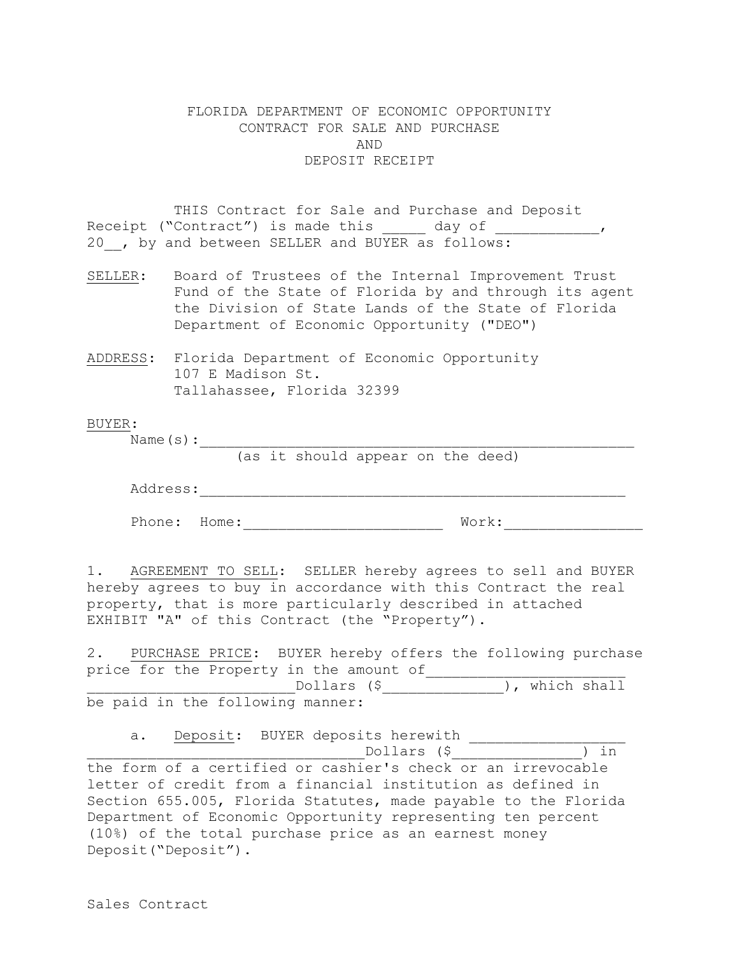## FLORIDA DEPARTMENT OF ECONOMIC OPPORTUNITY CONTRACT FOR SALE AND PURCHASE AND DEPOSIT RECEIPT

THIS Contract for Sale and Purchase and Deposit Receipt ("Contract") is made this \_\_\_\_\_ day of \_\_\_\_\_\_\_\_\_\_\_\_\_, 20 , by and between SELLER and BUYER as follows:

SELLER: Board of Trustees of the Internal Improvement Trust Fund of the State of Florida by and through its agent the Division of State Lands of the State of Florida Department of Economic Opportunity ("DEO")

ADDRESS: Florida Department of Economic Opportunity 107 E Madison St. Tallahassee, Florida 32399

## BUYER:

Name(s):\_\_\_\_\_\_\_\_\_\_\_\_\_\_\_\_\_\_\_\_\_\_\_\_\_\_\_\_\_\_\_\_\_\_\_\_\_\_\_\_\_\_\_\_\_\_\_\_\_\_

(as it should appear on the deed)

| Address: |
|----------|
|          |

Phone: Home:\_\_\_\_\_\_\_\_\_\_\_\_\_\_\_\_\_\_\_\_\_\_\_ Work:\_\_\_\_\_\_\_\_\_\_\_\_\_\_\_\_

1. AGREEMENT TO SELL: SELLER hereby agrees to sell and BUYER hereby agrees to buy in accordance with this Contract the real property, that is more particularly described in attached EXHIBIT "A" of this Contract (the "Property").

2. PURCHASE PRICE: BUYER hereby offers the following purchase price for the Property in the amount of Dollars (\$  $\qquad \qquad$  ), which shall be paid in the following manner:

a. Deposit: BUYER deposits herewith

 $Dollars$  (\$  $)$  in

the form of a certified or cashier's check or an irrevocable letter of credit from a financial institution as defined in Section 655.005, Florida Statutes, made payable to the Florida Department of Economic Opportunity representing ten percent (10%) of the total purchase price as an earnest money Deposit("Deposit").

Sales Contract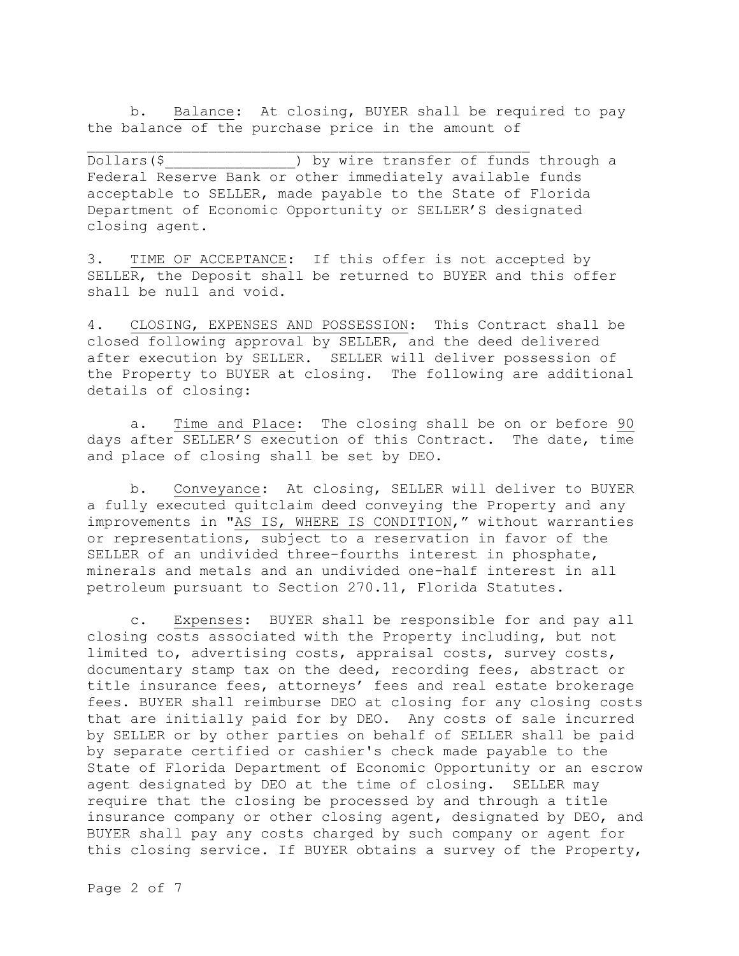b. Balance: At closing, BUYER shall be required to pay the balance of the purchase price in the amount of

Dollars(\$ ) by wire transfer of funds through a Federal Reserve Bank or other immediately available funds acceptable to SELLER, made payable to the State of Florida Department of Economic Opportunity or SELLER'S designated closing agent.

3. TIME OF ACCEPTANCE: If this offer is not accepted by SELLER, the Deposit shall be returned to BUYER and this offer shall be null and void.

4. CLOSING, EXPENSES AND POSSESSION: This Contract shall be closed following approval by SELLER, and the deed delivered after execution by SELLER. SELLER will deliver possession of the Property to BUYER at closing. The following are additional details of closing:

a. Time and Place: The closing shall be on or before 90 days after SELLER'S execution of this Contract. The date, time and place of closing shall be set by DEO.

b. Conveyance: At closing, SELLER will deliver to BUYER a fully executed quitclaim deed conveying the Property and any improvements in "AS IS, WHERE IS CONDITION," without warranties or representations, subject to a reservation in favor of the SELLER of an undivided three-fourths interest in phosphate, minerals and metals and an undivided one-half interest in all petroleum pursuant to Section 270.11, Florida Statutes.

c. Expenses: BUYER shall be responsible for and pay all closing costs associated with the Property including, but not limited to, advertising costs, appraisal costs, survey costs, documentary stamp tax on the deed, recording fees, abstract or title insurance fees, attorneys' fees and real estate brokerage fees. BUYER shall reimburse DEO at closing for any closing costs that are initially paid for by DEO. Any costs of sale incurred by SELLER or by other parties on behalf of SELLER shall be paid by separate certified or cashier's check made payable to the State of Florida Department of Economic Opportunity or an escrow agent designated by DEO at the time of closing. SELLER may require that the closing be processed by and through a title insurance company or other closing agent, designated by DEO, and BUYER shall pay any costs charged by such company or agent for this closing service. If BUYER obtains a survey of the Property,

Page 2 of 7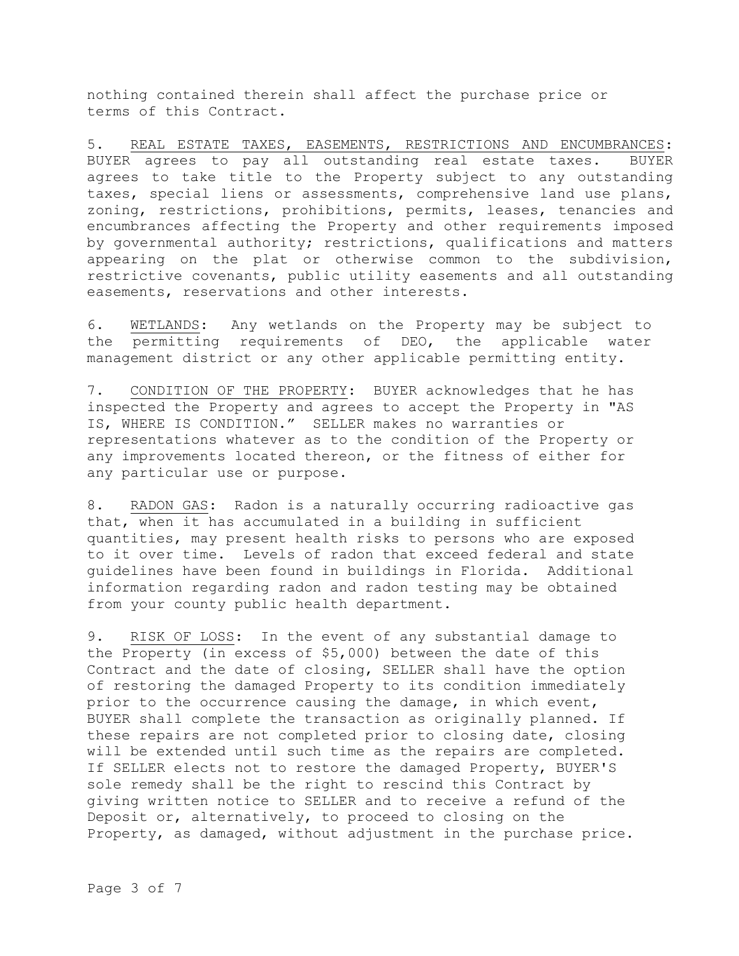nothing contained therein shall affect the purchase price or terms of this Contract.

5. REAL ESTATE TAXES, EASEMENTS, RESTRICTIONS AND ENCUMBRANCES: BUYER agrees to pay all outstanding real estate taxes. BUYER agrees to take title to the Property subject to any outstanding taxes, special liens or assessments, comprehensive land use plans, zoning, restrictions, prohibitions, permits, leases, tenancies and encumbrances affecting the Property and other requirements imposed by governmental authority; restrictions, qualifications and matters appearing on the plat or otherwise common to the subdivision, restrictive covenants, public utility easements and all outstanding easements, reservations and other interests.

6. WETLANDS: Any wetlands on the Property may be subject to the permitting requirements of DEO, the applicable water management district or any other applicable permitting entity.

7. CONDITION OF THE PROPERTY: BUYER acknowledges that he has inspected the Property and agrees to accept the Property in "AS IS, WHERE IS CONDITION." SELLER makes no warranties or representations whatever as to the condition of the Property or any improvements located thereon, or the fitness of either for any particular use or purpose.

8. RADON GAS: Radon is a naturally occurring radioactive gas that, when it has accumulated in a building in sufficient quantities, may present health risks to persons who are exposed to it over time. Levels of radon that exceed federal and state guidelines have been found in buildings in Florida. Additional information regarding radon and radon testing may be obtained from your county public health department.

9. RISK OF LOSS: In the event of any substantial damage to the Property (in excess of \$5,000) between the date of this Contract and the date of closing, SELLER shall have the option of restoring the damaged Property to its condition immediately prior to the occurrence causing the damage, in which event, BUYER shall complete the transaction as originally planned. If these repairs are not completed prior to closing date, closing will be extended until such time as the repairs are completed. If SELLER elects not to restore the damaged Property, BUYER'S sole remedy shall be the right to rescind this Contract by giving written notice to SELLER and to receive a refund of the Deposit or, alternatively, to proceed to closing on the Property, as damaged, without adjustment in the purchase price.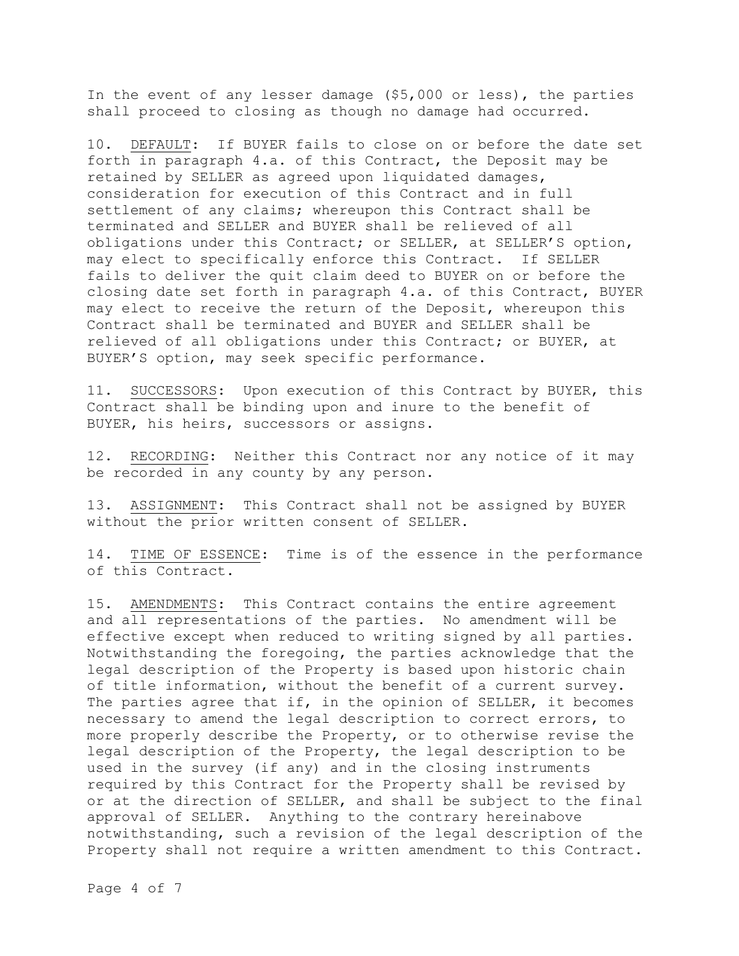In the event of any lesser damage (\$5,000 or less), the parties shall proceed to closing as though no damage had occurred.

10. DEFAULT: If BUYER fails to close on or before the date set forth in paragraph 4.a. of this Contract, the Deposit may be retained by SELLER as agreed upon liquidated damages, consideration for execution of this Contract and in full settlement of any claims; whereupon this Contract shall be terminated and SELLER and BUYER shall be relieved of all obligations under this Contract; or SELLER, at SELLER'S option, may elect to specifically enforce this Contract. If SELLER fails to deliver the quit claim deed to BUYER on or before the closing date set forth in paragraph 4.a. of this Contract, BUYER may elect to receive the return of the Deposit, whereupon this Contract shall be terminated and BUYER and SELLER shall be relieved of all obligations under this Contract; or BUYER, at BUYER'S option, may seek specific performance.

11. SUCCESSORS: Upon execution of this Contract by BUYER, this Contract shall be binding upon and inure to the benefit of BUYER, his heirs, successors or assigns.

12. RECORDING: Neither this Contract nor any notice of it may be recorded in any county by any person.

13. ASSIGNMENT: This Contract shall not be assigned by BUYER without the prior written consent of SELLER.

14. TIME OF ESSENCE: Time is of the essence in the performance of this Contract.

15. AMENDMENTS: This Contract contains the entire agreement and all representations of the parties. No amendment will be effective except when reduced to writing signed by all parties. Notwithstanding the foregoing, the parties acknowledge that the legal description of the Property is based upon historic chain of title information, without the benefit of a current survey. The parties agree that if, in the opinion of SELLER, it becomes necessary to amend the legal description to correct errors, to more properly describe the Property, or to otherwise revise the legal description of the Property, the legal description to be used in the survey (if any) and in the closing instruments required by this Contract for the Property shall be revised by or at the direction of SELLER, and shall be subject to the final approval of SELLER. Anything to the contrary hereinabove notwithstanding, such a revision of the legal description of the Property shall not require a written amendment to this Contract.

Page 4 of 7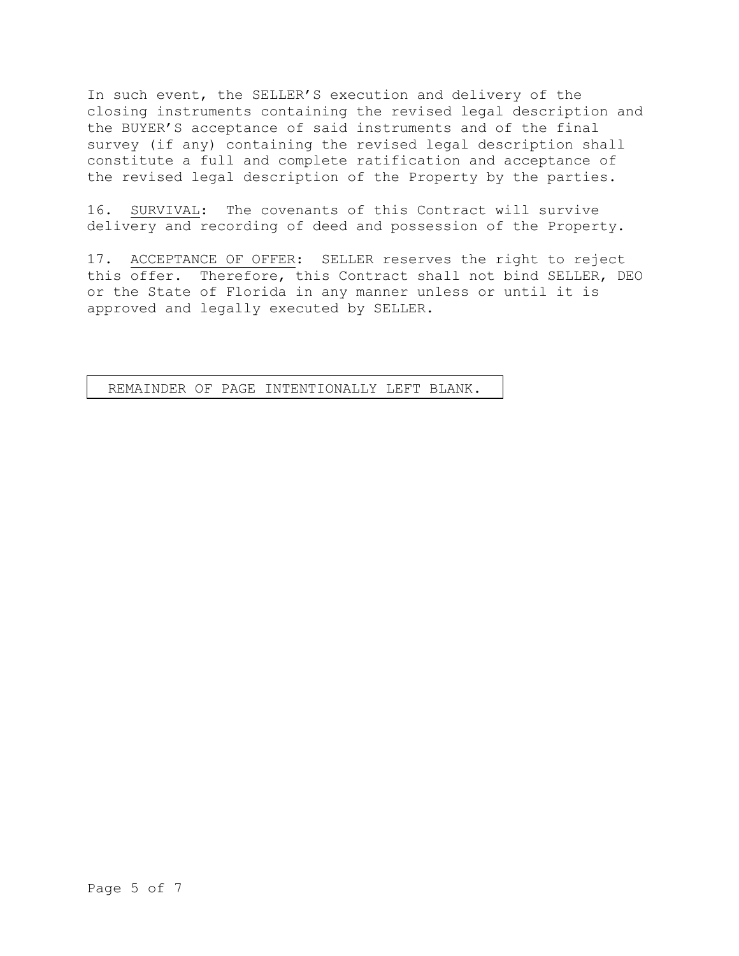In such event, the SELLER'S execution and delivery of the closing instruments containing the revised legal description and the BUYER'S acceptance of said instruments and of the final survey (if any) containing the revised legal description shall constitute a full and complete ratification and acceptance of the revised legal description of the Property by the parties.

16. SURVIVAL: The covenants of this Contract will survive delivery and recording of deed and possession of the Property.

17. ACCEPTANCE OF OFFER: SELLER reserves the right to reject this offer. Therefore, this Contract shall not bind SELLER, DEO or the State of Florida in any manner unless or until it is approved and legally executed by SELLER.

REMAINDER OF PAGE INTENTIONALLY LEFT BLANK. SIGNATURE PAGE TO FOLLOW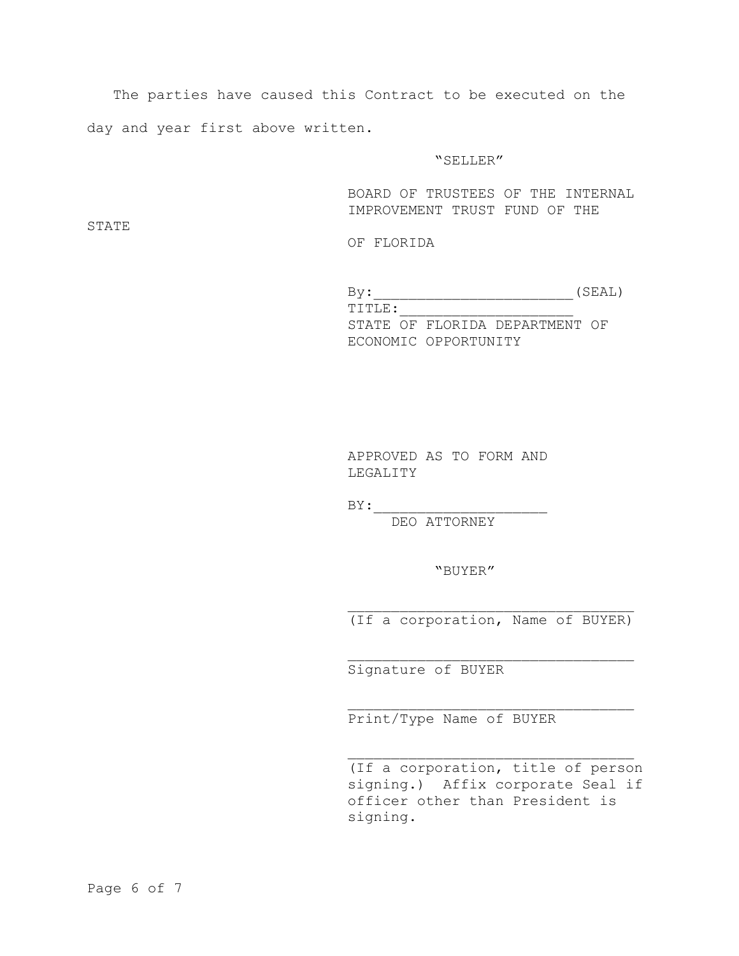The parties have caused this Contract to be executed on the day and year first above written.

## "SELLER"

BOARD OF TRUSTEES OF THE INTERNAL IMPROVEMENT TRUST FUND OF THE

STATE

OF FLORIDA

 $By:$  (SEAL)  $\texttt{TTITE}:$ STATE OF FLORIDA DEPARTMENT OF ECONOMIC OPPORTUNITY

> APPROVED AS TO FORM AND LEGALITY

 $BY:$ 

DEO ATTORNEY

"BUYER"

(If a corporation, Name of BUYER)

Signature of BUYER

Print/Type Name of BUYER

(If a corporation, title of person signing.) Affix corporate Seal if officer other than President is signing.